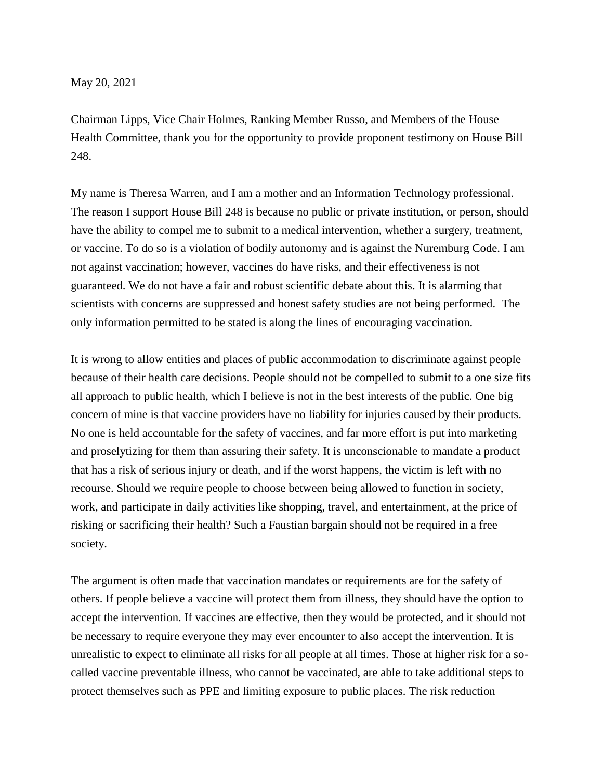May 20, 2021

Chairman Lipps, Vice Chair Holmes, Ranking Member Russo, and Members of the House Health Committee, thank you for the opportunity to provide proponent testimony on House Bill 248.

My name is Theresa Warren, and I am a mother and an Information Technology professional. The reason I support House Bill 248 is because no public or private institution, or person, should have the ability to compel me to submit to a medical intervention, whether a surgery, treatment, or vaccine. To do so is a violation of bodily autonomy and is against the Nuremburg Code. I am not against vaccination; however, vaccines do have risks, and their effectiveness is not guaranteed. We do not have a fair and robust scientific debate about this. It is alarming that scientists with concerns are suppressed and honest safety studies are not being performed. The only information permitted to be stated is along the lines of encouraging vaccination.

It is wrong to allow entities and places of public accommodation to discriminate against people because of their health care decisions. People should not be compelled to submit to a one size fits all approach to public health, which I believe is not in the best interests of the public. One big concern of mine is that vaccine providers have no liability for injuries caused by their products. No one is held accountable for the safety of vaccines, and far more effort is put into marketing and proselytizing for them than assuring their safety. It is unconscionable to mandate a product that has a risk of serious injury or death, and if the worst happens, the victim is left with no recourse. Should we require people to choose between being allowed to function in society, work, and participate in daily activities like shopping, travel, and entertainment, at the price of risking or sacrificing their health? Such a Faustian bargain should not be required in a free society.

The argument is often made that vaccination mandates or requirements are for the safety of others. If people believe a vaccine will protect them from illness, they should have the option to accept the intervention. If vaccines are effective, then they would be protected, and it should not be necessary to require everyone they may ever encounter to also accept the intervention. It is unrealistic to expect to eliminate all risks for all people at all times. Those at higher risk for a socalled vaccine preventable illness, who cannot be vaccinated, are able to take additional steps to protect themselves such as PPE and limiting exposure to public places. The risk reduction